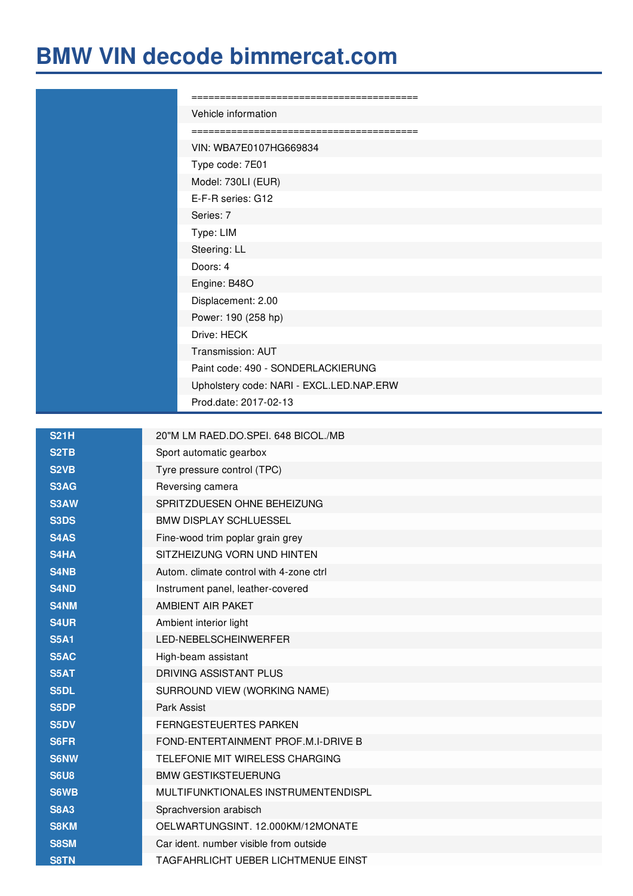## **BMW VIN decode [bimmercat.com](https://www.bimmercat.com)**

| Vehicle information                      |
|------------------------------------------|
|                                          |
| VIN: WBA7E0107HG669834                   |
| Type code: 7E01                          |
| Model: 730LI (EUR)                       |
| E-F-R series: G12                        |
| Series: 7                                |
| Type: LIM                                |
| Steering: LL                             |
| Doors: 4                                 |
| Engine: B48O                             |
| Displacement: 2.00                       |
| Power: 190 (258 hp)                      |
| Drive: HECK                              |
| Transmission: AUT                        |
| Paint code: 490 - SONDERLACKIERUNG       |
| Upholstery code: NARI - EXCL.LED.NAP.ERW |
| Prod.date: 2017-02-13                    |
|                                          |

| <b>S21H</b>       | 20"M LM RAED.DO.SPEI. 648 BICOL./MB     |
|-------------------|-----------------------------------------|
| S <sub>2</sub> TB | Sport automatic gearbox                 |
| S <sub>2</sub> VB | Tyre pressure control (TPC)             |
| S3AG              | Reversing camera                        |
| S3AW              | SPRITZDUESEN OHNE BEHEIZUNG             |
| S3DS              | <b>BMW DISPLAY SCHLUESSEL</b>           |
| S4AS              | Fine-wood trim poplar grain grey        |
| S4HA              | SITZHEIZUNG VORN UND HINTEN             |
| S4NB              | Autom. climate control with 4-zone ctrl |
| <b>S4ND</b>       | Instrument panel, leather-covered       |
| <b>S4NM</b>       | AMBIENT AIR PAKET                       |
| <b>S4UR</b>       | Ambient interior light                  |
| <b>S5A1</b>       | LED-NEBELSCHEINWERFER                   |
| <b>S5AC</b>       | High-beam assistant                     |
| <b>S5AT</b>       | DRIVING ASSISTANT PLUS                  |
| S5DL              | SURROUND VIEW (WORKING NAME)            |
| S5DP              | Park Assist                             |
| <b>S5DV</b>       | FERNGESTEUERTES PARKEN                  |
| <b>S6FR</b>       | FOND-ENTERTAINMENT PROF.M.I-DRIVE B     |
| <b>S6NW</b>       | TELEFONIE MIT WIRELESS CHARGING         |
| <b>S6U8</b>       | <b>BMW GESTIKSTEUERUNG</b>              |
| <b>S6WB</b>       | MULTIFUNKTIONALES INSTRUMENTENDISPL     |
| <b>S8A3</b>       | Sprachversion arabisch                  |
| <b>S8KM</b>       | OELWARTUNGSINT. 12.000KM/12MONATE       |
| <b>S8SM</b>       | Car ident. number visible from outside  |
| <b>S8TN</b>       | TAGFAHRLICHT UEBER LICHTMENUE EINST     |